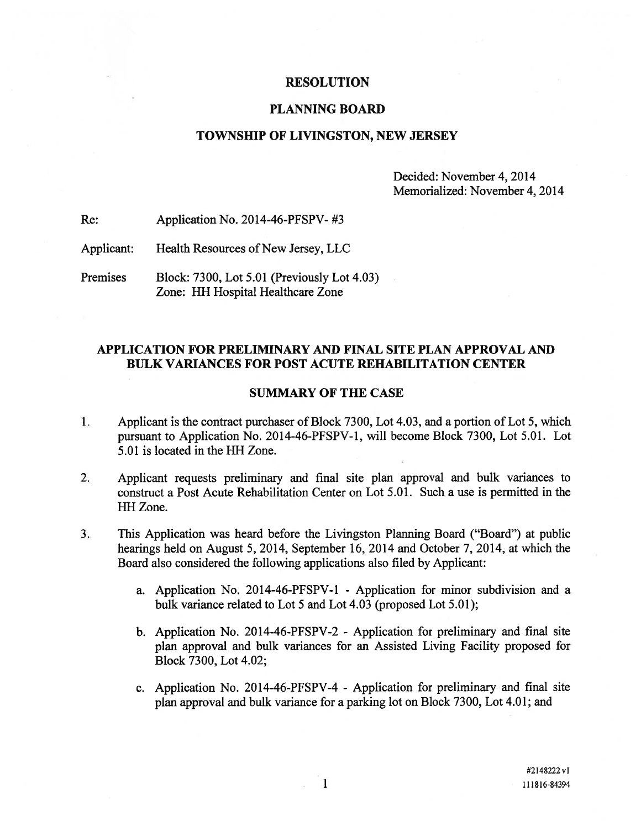### RESOLUTION

## PLANNING BOARD

## TOWNSHIP OF LIVINGSTON, NEW JERSEY

Decided: November 4, 2014 Memorialized: November 4, 2014

Re: Application No. 2014-46-PFSPV- #3

Applicant: Health Resources of New Jersey, LLC

Premises Block: 7300, Lot 5.01 (Previously Lot 4.03) Zone: HH Hospital Healthcare Zone

## APPLICATION FOR PRELIMINARY AND FINAL SITE PLAN APPROVAL AND BULK VARIANCES FOR POST ACUTE REHABILITATION CENTER

### SUMMARY OF THE CASE

- $1.$ Applicant is the contract purchaser of Block 7300, Lot 4.03, and <sup>a</sup> portion of Lot 5, which pursuan<sup>t</sup> to Application No. 2014-46-PFSPV-1, will become Block 7300, Lot 5.01. Lot 5.01 is located in the HH Zone.
- 2. Applicant requests preliminary and final site plan approval and bulk variances to construct <sup>a</sup> Post Acute Rehabilitation Center on Lot 5.01. Such <sup>a</sup> use is permitted in the HH Zone.
- 3. This Application was heard before the Livingston Planning Board ("Board") at public hearings held on August 5, 2014, September 16, 2014 and October 7, 2014, at which the Board also considered the following applications also filed by Applicant:
	- a. Application No. 2014-46-PFSPV-1 Application for minor subdivision and <sup>a</sup> bulk variance related to Lot 5 and Lot 4.03 (proposed Lot 5.01);
	- b. Application No. 2014-46-PFSPV-2 Application for preliminary and final site plan approval and bulk variances for an Assisted Living Facility proposed for Block 7300, Lot 4.02;
	- c. Application No. 2014-46-PFSPV-4 Application for preliminary and final site plan approval and bulk variance for <sup>a</sup> parking lot on Block 7300, Lot 4.01; and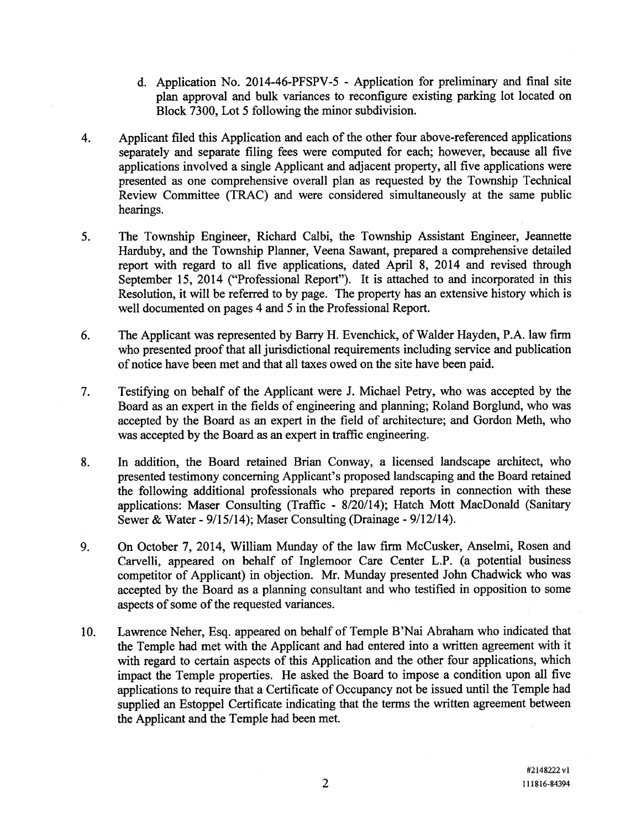- d. Application No. 2014-46-PFSPV-5 Application for preliminary and final site plan approval and bulk variances to reconfigure existing parking lot located on Block 7300, Lot 5 following the minor subdivision.
- 4. Applicant filed this Application and each of the other four above-referenced applications separately and separate filing fees were computed for each; however, because all five applications involved <sup>a</sup> single Applicant and adjacent property, all five applications were presented as one comprehensive overall plan as requested by the Township Technical Review Committee (TRAC) and were considered simultaneously at the same public hearings.
- 5. The Township Engineer, Richard Calbi, the Township Assistant Engineer, Jeannette Harduby, and the Township Planner, Veena Sawant, prepared <sup>a</sup> comprehensive detailed repor<sup>t</sup> with regard to all five applications, dated April 8, 2014 and revised through September 15, 2014 ("Professional Report"). It is attached to and incorporated in this Resolution, it will be referred to by page. The property has an extensive history which is well documented on pages 4 and 5 in the Professional Report.
- 6. The Applicant was represented by Barry H. Evenchick, of Walder Hayden, P.A. law firm who presented proof that all jurisdictional requirements including service and publication of notice have been met and that all taxes owed on the site have been paid.
- 7. Testifying on behalf of the Applicant were J. Michael Petry, who was accepted by the Board as an exper<sup>t</sup> in the fields of engineering and planning; Roland Borglund, who was accepted by the Board as an exper<sup>t</sup> in the field of architecture; and Gordon Meth, who was accepted by the Board as an exper<sup>t</sup> in traffic engineering.
- 8. In addition, the Board retained Brian Conway, <sup>a</sup> licensed landscape architect, who presented testimony concerning Applicant's proposed landscaping and the Board retained the following additional professionals who prepared reports in connection with these applications: Maser Consulting (Traffic - 8/20/14); Hatch Mott MacDonald (Sanitary Sewer & Water - 9/15/14); Maser Consulting (Drainage - 9/12/14).
- 9. On October 7, 2014, William Munday of the law firm McCusker, Anselmi, Rosen and Carvelli, appeared on behalf of Inglemoor Care Center L.P. (a potential business competitor of Applicant) in objection. Mr. Munday presented John Chadwick who was accepted by the Board as <sup>a</sup> <sup>p</sup>lanning consultant and who testified in opposition to some aspects of some of the requested variances.
- 10. Lawrence Neher, Esq. appeare<sup>d</sup> on behalf of Temple B'Nai Abraham who indicated that the Temple had met with the Applicant and had entered into <sup>a</sup> written agreemen<sup>t</sup> with it with regard to certain aspects of this Application and the other four applications, which impact the Temple properties. He asked the Board to impose <sup>a</sup> condition upon all five applications to require that <sup>a</sup> Certificate of Occupancy not be issued until the Temple had supplied an Estoppel Certificate indicating that the terms the written agreemen<sup>t</sup> between the Applicant and the Temple had been met.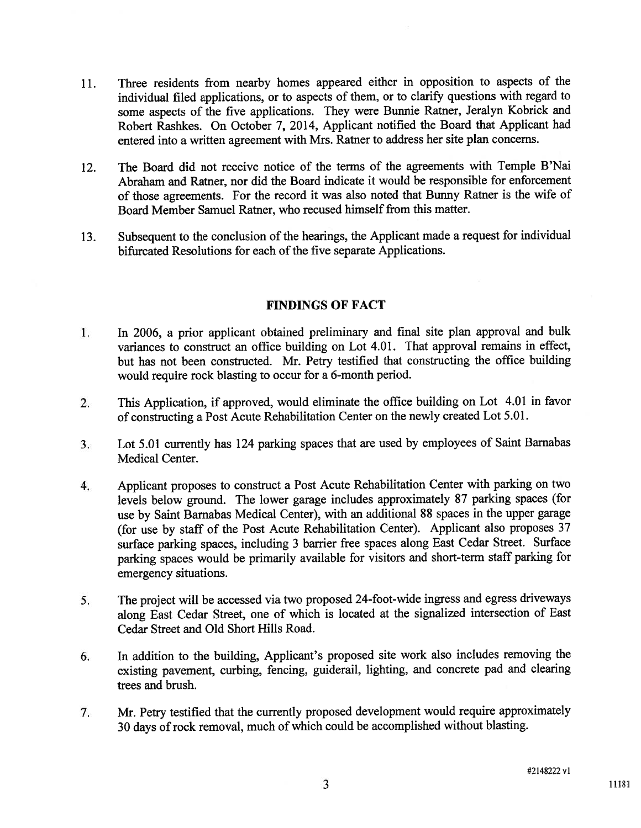- 11. Three residents from nearby homes appeare<sup>d</sup> either in opposition to aspects of the individual filed applications, or to aspects of them, or to clarify questions with regar<sup>d</sup> to some aspects of the five applications. They were Bunnie Ratner, Jeralyn Kobrick and Robert Rashkes. On October 7, 2014, Applicant notified the Board that Applicant had entered into <sup>a</sup> written agreemen<sup>t</sup> with Mrs. Ratner to address her site <sup>p</sup>lan concerns.
- 12. The Board did not receive notice of the terms of the agreements with Temple B'Nai Abraham and Ratner, nor did the Board indicate it would be responsible for enforcement of those agreements. For the record it was also noted that Bunny Ratner is the wife of Board Member Samuel Ratner, who recused himself from this matter.
- 13. Subsequent to the conclusion of the hearings, the Applicant made <sup>a</sup> reques<sup>t</sup> for individual bifurcated Resolutions for each of the five separate Applications.

## FINDINGS OF FACT

- 1. In 2006, <sup>a</sup> prior applicant obtained preliminary and final site <sup>p</sup>lan approva<sup>l</sup> and bulk variances to construct an office building on Lot 4.01. That approva<sup>l</sup> remains in effect, but has not been constructed. Mr. Petry testified that constructing the office building would require rock blasting to occur for a 6-month period.
- 2. This Application, if approved, would eliminate the office building on Lot 4.01 in favor of constructing <sup>a</sup> Post Acute Rehabilitation Center on the newly created Lot 5.01.
- 3. Lot 5.01 currently has <sup>124</sup> parking spaces that are used by employees of Saint Barnabas Medical Center.
- 4. Applicant proposes to construct <sup>a</sup> Post Acute Rehabilitation Center with parking on two levels below ground. The lower garage includes approximately <sup>87</sup> parking spaces (for use by Saint Barnabas Medical Center), with an additional <sup>88</sup> spaces in the upper garage (for use by staff of the Post Acute Rehabilitation Center). Applicant also proposes <sup>37</sup> surface parking spaces, including <sup>3</sup> barrier free spaces along East Cedar Street. Surface parking spaces would be primarily available for visitors and short-term staff parking for emergency situations.
- 5. The project will be accessed via two propose<sup>d</sup> 24-foot-wide ingress and egress driveways along East Cedar Street, one of which is located at the signalized intersection of East Cedar Street and Old Short Hills Road.
- 6. In addition to the building, Applicant's propose<sup>d</sup> site work also includes removing the existing pavement, curbing, fencing, guiderail, lighting, and concrete pa<sup>d</sup> and clearing trees and brush.
- 7. Mr. Petry testified that the currently propose<sup>d</sup> development would require approximately <sup>30</sup> days of rock removal, much of which could be accomplished without blasting.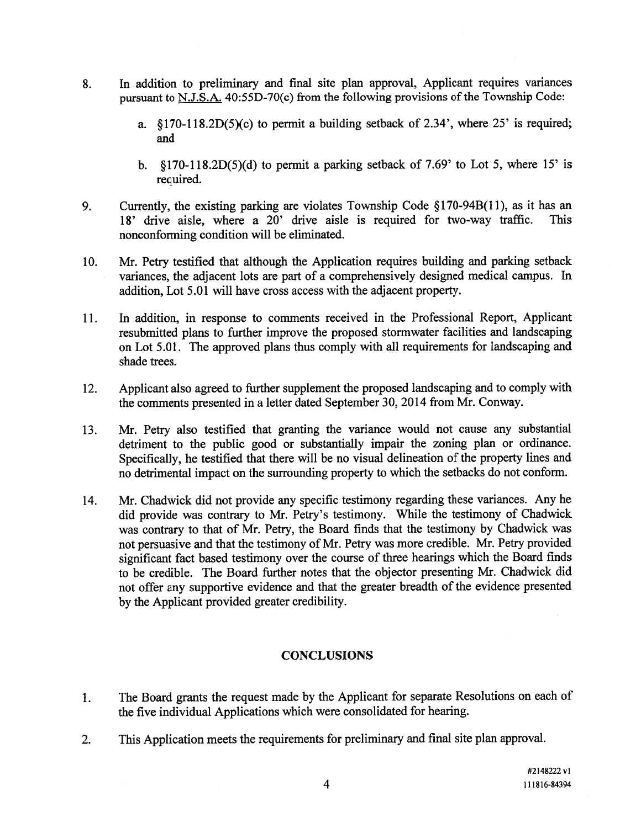- 8. In addition to preliminary and final site <sup>p</sup>lan approval, Applicant requires variances pursuant to N.J.S.A.  $40:55D-70(c)$  from the following provisions of the Township Code:
	- a.  $$170-118.2D(5)(c)$  to permit a building setback of 2.34', where 25' is required; and
	- b.  $\S170-118.2D(5)(d)$  to permit a parking setback of 7.69' to Lot 5, where 15' is required.
- 9. Currently, the existing parking are violates Township Code §170-94B(11), as it has an 18' drive aisle, where <sup>a</sup> 20' drive aisle is required for two-way traffic. This nonconforming condition will be eliminated.
- 10. Mr. Petry testified that although the Application requires building and parking setback variances, the adjacent lots are par<sup>t</sup> of <sup>a</sup> comprehensively designed medical campus. In addition, Lot 5.01 will have cross access with the adjacent property.
- 11. In addition, in response to comments received in the Professional Report, Applicant resubmitted plans to further improve the proposed stormwater facilities and landscaping on Lot 5.01. The approved plans thus comply with all requirements for landscaping and shade trees.
- 12. Applicant also agree<sup>d</sup> to further supplement the propose<sup>d</sup> landscaping and to comply with the comments presented in <sup>a</sup> letter dated September 30, 2014 from Mr. Conway.
- 13. Mr. Petry also testified that granting the variance would not cause any substantial detriment to the public goo<sup>d</sup> or substantially impair the zoning <sup>p</sup>lan or ordinance. Specifically, he testified that there will be no visual delineation of the property lines and no detrimental impact on the surrounding property to which the setbacks do not conform.
- 14. Mr. Chadwick did not provide any specific testimony regarding these variances. Any he did provide was contrary to Mr. Petry's testimony. While the testimony of Chadwick was contrary to that of Mr. Petry, the Board finds that the testimony by Chadwick was not persuasive and that the testimony of Mr. Petry was more credible. Mr. Petry provided significant fact based testimony over the course of three hearings which the Board finds to be credible. The Board further notes that the objector presenting Mr. Chadwick did not offer any supportive evidence and that the greater breadth of the evidence presented by the Applicant provided greater credibility.

# **CONCLUSIONS**

- The Board grants the reques<sup>t</sup> made by the Applicant for separate Resolutions on each of  $1.$ the five individual Applications which were consolidated for hearing.
- 2. This Application meets the requirements for preliminary and final site <sup>p</sup>lan approval.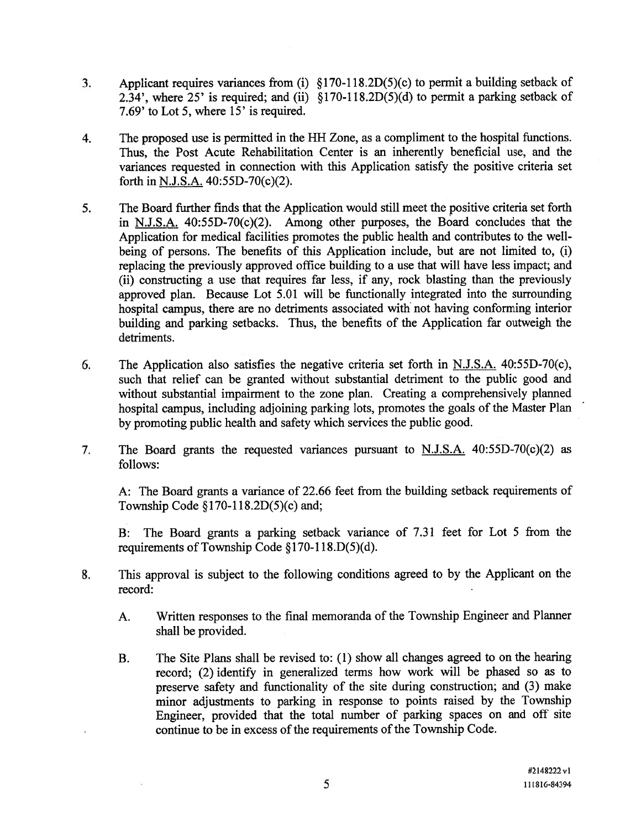- 3. Applicant requires variances from (i) §170-118.2D(5)(c) to permit <sup>a</sup> building setback of 2.34', where 25' is required; and (ii)  $$170-118.2D(5)(d)$  to permit a parking setback of 7.69' to Lot 5, where 15' is required.
- 4. The proposed use is permitted in the HH Zone, as <sup>a</sup> compliment to the hospital functions. Thus, the Post Acute Rehabilitation Center is an inherently beneficial use, and the variances requested in connection with this Application satisfy the positive criteria set forth in N.J.S.A. 40:55D-70(c)(2).
- 5. The Board further finds that the Application would still meet the positive criteria set forth in N.J.S.A. 40:55D-70(c)(2). Among other purposes, the Board concludes that the Application for medical facilities promotes the public health and contributes to the well being of persons. The benefits of this Application include, but are not limited to, (i) replacing the previously approved office building to <sup>a</sup> use that will have less impact; and (ii) constructing <sup>a</sup> use that requires far less, if any, rock blasting than the previously approved <sup>p</sup>lan. Because Lot 5.01 will be functionally integrated into the surrounding hospital campus, there are no detriments associated with' not having conforming interior building and parking setbacks. Thus, the benefits of the Application far outweigh the detriments.
- 6. The Application also satisfies the negative criteria set forth in  $N.J.S.A.$  40:55D-70(c), such that relief can be granted without substantial detriment to the public good and without substantial impairment to the zone plan. Creating <sup>a</sup> comprehensively planned hospital campus, including adjoining parking lots, promotes the goals of the Master Plan by promoting public health and safety which services the public good.
- 7. The Board grants the requested variances pursuan<sup>t</sup> to N.J.S.A. 40:55D-70(c)(2) as follows:

A: The Board grants <sup>a</sup> variance of 22.66 feet from the building setback requirements of Township Code §170-118.2D(5)(c) and;

B: The Board grants <sup>a</sup> parking setback variance of 7.31 feet for Lot 5 from the requirements of Township Code §170-118.D(5)(d).

- 8. This approva<sup>l</sup> is subject to the following conditions agree<sup>d</sup> to by the Applicant on the record:
	- A. Written responses to the final memoranda of the Township Engineer and Planner shall be provided.
	- B. The Site Plans shall be revised to: (1) show all changes agreed to on the hearing record; (2) identify in generalized terms how work will be <sup>p</sup>hased so as to preserve safety and functionality of the site during construction; and (3) make minor adjustments to parking in response to points raised by the Township Engineer, provided that the total number of parking spaces on and off site continue to be in excess of the requirements of the Township Code.